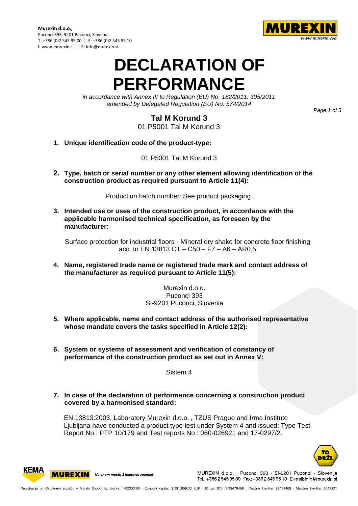**Murexin d.o.o.,** Puconci 393, 9201 Puconci, Slovenia T: +386 (0)2 545 95 00 | F: +386 (0)2 545 95 10 I: www.murexin.si | E: info@murexin.si



## **DECLARATION OF PERFORMANCE**

*in accordance with Annex III to Regulation (EU) No. 182/2011. 305/2011 amended by Delegated Regulation (EU) No. 574/2014*

*Page 1 of 3*

## **Tal M Korund 3**

01 P5001 Tal M Korund 3

**1. Unique identification code of the product-type:**

01 P5001 Tal M Korund 3

**2. Type, batch or serial number or any other element allowing identification of the construction product as required pursuant to Article 11(4):**

Production batch number: See product packaging.

**3. Intended use or uses of the construction product, in accordance with the applicable harmonised technical specification, as foreseen by the manufacturer:**

Surface protection for industrial floors - Mineral dry shake for concrete floor finishing acc. to EN 13813 CT – C50 – F7 – A6 – AR0,5

**4. Name, registered trade name or registered trade mark and contact address of the manufacturer as required pursuant to Article 11(5):**

> Murexin d.o.o. Puconci 393 SI-9201 Puconci, Slovenia

- **5. Where applicable, name and contact address of the authorised representative whose mandate covers the tasks specified in Article 12(2):**
- **6. System or systems of assessment and verification of constancy of performance of the construction product as set out in Annex V:**

Sistem 4

**7. In case of the declaration of performance concerning a construction product covered by a harmonised standard:**

EN 13813:2003, Laboratory Murexin d.o.o. , TZUS Prague and Irma Institute Ljubljana have conducted a product type test under System 4 and issued: Type Test Report No.: PTP 10/179 and Test reports No.: 060-026921 and 17-0297/2.



**MUREXIN** Na enem mestu 2 blagovni znamki!

**KEMA** 

MUREXIN d.o.o. · Puconci 393 · SI-9201 Puconci · Slovenija Tel.: +386 2 545 95 00 · Fax: +386 2 545 95 10 · E-mail: info@murexin.si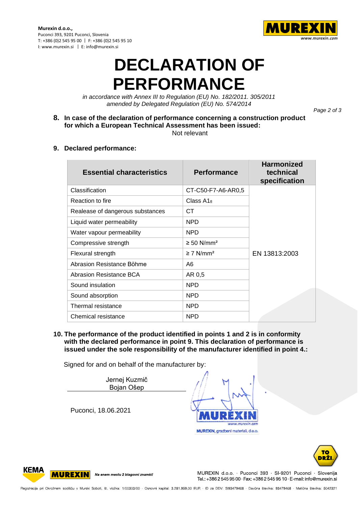

## **DECLARATION OF PERFORMANCE**

*in accordance with Annex III to Regulation (EU) No. 182/2011. 305/2011 amended by Delegated Regulation (EU) No. 574/2014*

*Page 2 of 3*

**8. In case of the declaration of performance concerning a construction product for which a European Technical Assessment has been issued:** Not relevant

**9. Declared performance:**

| <b>Essential characteristics</b> | <b>Performance</b>          | <b>Harmonized</b><br>technical<br>specification |
|----------------------------------|-----------------------------|-------------------------------------------------|
| Classification                   | CT-C50-F7-A6-AR0,5          |                                                 |
| Reaction to fire                 | Class $A1_{\rm fl}$         |                                                 |
| Realease of dangerous substances | CT.                         |                                                 |
| Liquid water permeability        | <b>NPD</b>                  |                                                 |
| Water vapour permeability        | <b>NPD</b>                  |                                                 |
| Compressive strength             | $\geq$ 50 N/mm <sup>2</sup> |                                                 |
| Flexural strength                | $\geq$ 7 N/mm <sup>2</sup>  | EN 13813:2003                                   |
| Abrasion Resistance Böhme        | A6                          |                                                 |
| Abrasion Resistance BCA          | AR 0,5                      |                                                 |
| Sound insulation                 | <b>NPD</b>                  |                                                 |
| Sound absorption                 | <b>NPD</b>                  |                                                 |
| Thermal resistance               | <b>NPD</b>                  |                                                 |
| Chemical resistance              | <b>NPD</b>                  |                                                 |

**10. The performance of the product identified in points 1 and 2 is in conformity with the declared performance in point 9. This declaration of performance is issued under the sole responsibility of the manufacturer identified in point 4.:**

Signed for and on behalf of the manufacturer by:

Jernej Kuzmič Bojan Ošep

Puconci, 18.06.2021





**KEMA MUREXIN** Na enem mestu 2 blagovni znamki!

MUREXIN d.o.o. · Puconci 393 · SI-9201 Puconci · Slovenija Tel.: +386 2 545 95 00 · Fax: +386 2 545 95 10 · E-mail: info@murexin.si